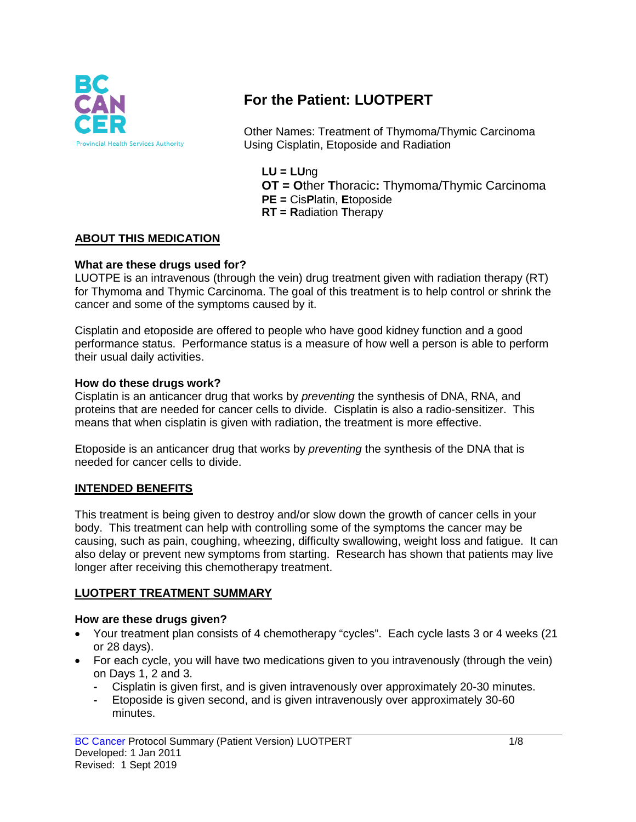

# **For the Patient: LUOTPERT**

Other Names: Treatment of Thymoma/Thymic Carcinoma Using Cisplatin, Etoposide and Radiation

**LU = LU**ng **OT = O**ther **T**horacic**:** Thymoma/Thymic Carcinoma **PE =** Cis**P**latin, **E**toposide **RT = R**adiation **T**herapy

### **ABOUT THIS MEDICATION**

### **What are these drugs used for?**

LUOTPE is an intravenous (through the vein) drug treatment given with radiation therapy (RT) for Thymoma and Thymic Carcinoma. The goal of this treatment is to help control or shrink the cancer and some of the symptoms caused by it.

Cisplatin and etoposide are offered to people who have good kidney function and a good performance status. Performance status is a measure of how well a person is able to perform their usual daily activities.

### **How do these drugs work?**

Cisplatin is an anticancer drug that works by *preventing* the synthesis of DNA, RNA, and proteins that are needed for cancer cells to divide. Cisplatin is also a radio-sensitizer. This means that when cisplatin is given with radiation, the treatment is more effective.

Etoposide is an anticancer drug that works by *preventing* the synthesis of the DNA that is needed for cancer cells to divide.

### **INTENDED BENEFITS**

This treatment is being given to destroy and/or slow down the growth of cancer cells in your body. This treatment can help with controlling some of the symptoms the cancer may be causing, such as pain, coughing, wheezing, difficulty swallowing, weight loss and fatigue. It can also delay or prevent new symptoms from starting. Research has shown that patients may live longer after receiving this chemotherapy treatment.

### **LUOTPERT TREATMENT SUMMARY**

### **How are these drugs given?**

- Your treatment plan consists of 4 chemotherapy "cycles". Each cycle lasts 3 or 4 weeks (21 or 28 days).
- For each cycle, you will have two medications given to you intravenously (through the vein) on Days 1, 2 and 3.
	- **-** Cisplatin is given first, and is given intravenously over approximately 20-30 minutes.
	- **-** Etoposide is given second, and is given intravenously over approximately 30-60 minutes.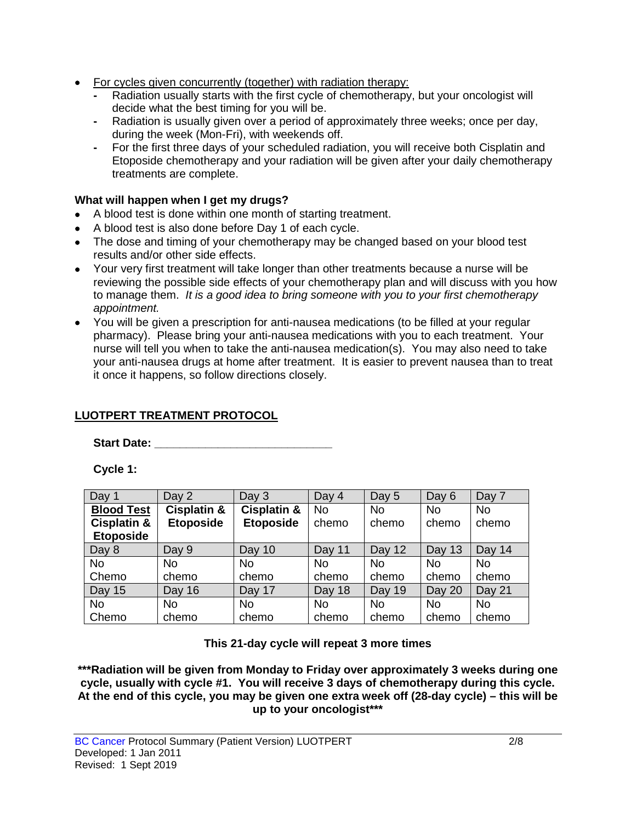- For cycles given concurrently (together) with radiation therapy:
	- **-** Radiation usually starts with the first cycle of chemotherapy, but your oncologist will decide what the best timing for you will be.
	- **-** Radiation is usually given over a period of approximately three weeks; once per day, during the week (Mon-Fri), with weekends off.
	- **-** For the first three days of your scheduled radiation, you will receive both Cisplatin and Etoposide chemotherapy and your radiation will be given after your daily chemotherapy treatments are complete.

### **What will happen when I get my drugs?**

- A blood test is done within one month of starting treatment.
- A blood test is also done before Day 1 of each cycle.
- The dose and timing of your chemotherapy may be changed based on your blood test results and/or other side effects.
- Your very first treatment will take longer than other treatments because a nurse will be reviewing the possible side effects of your chemotherapy plan and will discuss with you how to manage them. *It is a good idea to bring someone with you to your first chemotherapy appointment.*
- You will be given a prescription for anti-nausea medications (to be filled at your regular pharmacy). Please bring your anti-nausea medications with you to each treatment. Your nurse will tell you when to take the anti-nausea medication(s). You may also need to take your anti-nausea drugs at home after treatment. It is easier to prevent nausea than to treat it once it happens, so follow directions closely.

## **LUOTPERT TREATMENT PROTOCOL**

**Start Date: Constant Only 2000** 

**Cycle 1:**

| Day 1                  | Day 2                  | Day 3            | Day 4     | Day 5     | Day 6     | Day 7     |
|------------------------|------------------------|------------------|-----------|-----------|-----------|-----------|
| <b>Blood Test</b>      | <b>Cisplatin &amp;</b> | Cisplatin &      | <b>No</b> | <b>No</b> | <b>No</b> | <b>No</b> |
| <b>Cisplatin &amp;</b> | <b>Etoposide</b>       | <b>Etoposide</b> | chemo     | chemo     | chemo     | chemo     |
| <b>Etoposide</b>       |                        |                  |           |           |           |           |
| Day 8                  | Day 9                  | Day 10           | Day 11    | Day 12    | Day 13    | Day 14    |
| <b>No</b>              | <b>No</b>              | <b>No</b>        | <b>No</b> | <b>No</b> | <b>No</b> | <b>No</b> |
| Chemo                  | chemo                  | chemo            | chemo     | chemo     | chemo     | chemo     |
| <b>Day 15</b>          | Day 16                 | Day 17           | Day 18    | Day 19    | Day 20    | Day 21    |
| <b>No</b>              | No                     | <b>No</b>        | <b>No</b> | <b>No</b> | No.       | No.       |
| Chemo                  | chemo                  | chemo            | chemo     | chemo     | chemo     | chemo     |

### **This 21-day cycle will repeat 3 more times**

**\*\*\*Radiation will be given from Monday to Friday over approximately 3 weeks during one cycle, usually with cycle #1. You will receive 3 days of chemotherapy during this cycle. At the end of this cycle, you may be given one extra week off (28-day cycle) – this will be up to your oncologist\*\*\***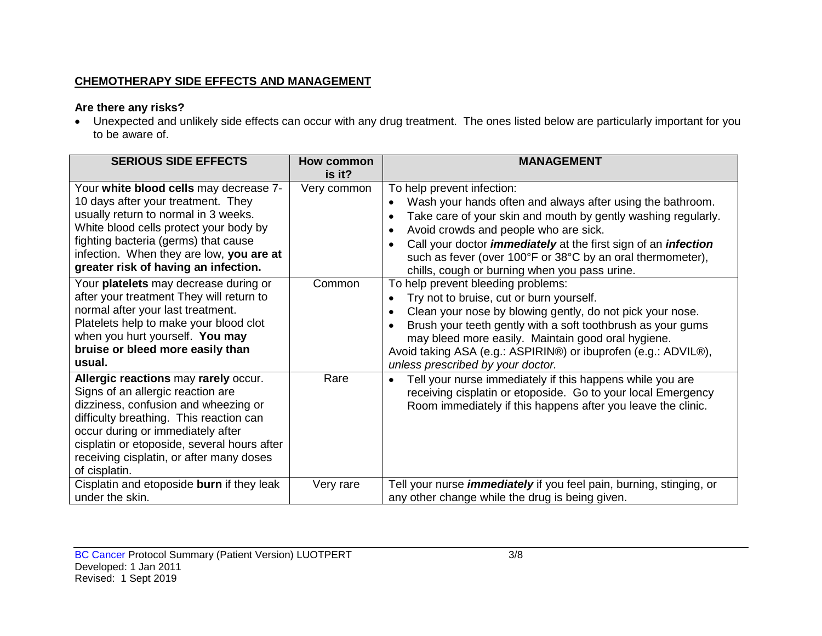## **CHEMOTHERAPY SIDE EFFECTS AND MANAGEMENT**

## **Are there any risks?**

• Unexpected and unlikely side effects can occur with any drug treatment. The ones listed below are particularly important for you to be aware of.

| <b>SERIOUS SIDE EFFECTS</b>                                                                                                                                                                                                                                                                                   | How common<br>is it? | <b>MANAGEMENT</b>                                                                                                                                                                                                                                                                                                                                                                                                                        |
|---------------------------------------------------------------------------------------------------------------------------------------------------------------------------------------------------------------------------------------------------------------------------------------------------------------|----------------------|------------------------------------------------------------------------------------------------------------------------------------------------------------------------------------------------------------------------------------------------------------------------------------------------------------------------------------------------------------------------------------------------------------------------------------------|
| Your white blood cells may decrease 7-<br>10 days after your treatment. They<br>usually return to normal in 3 weeks.<br>White blood cells protect your body by<br>fighting bacteria (germs) that cause<br>infection. When they are low, you are at<br>greater risk of having an infection.                    | Very common          | To help prevent infection:<br>Wash your hands often and always after using the bathroom.<br>$\bullet$<br>Take care of your skin and mouth by gently washing regularly.<br>$\bullet$<br>Avoid crowds and people who are sick.<br>$\bullet$<br>Call your doctor <i>immediately</i> at the first sign of an <i>infection</i><br>such as fever (over 100°F or 38°C by an oral thermometer),<br>chills, cough or burning when you pass urine. |
| Your platelets may decrease during or<br>after your treatment They will return to<br>normal after your last treatment.<br>Platelets help to make your blood clot<br>when you hurt yourself. You may<br>bruise or bleed more easily than<br>usual.                                                             | Common               | To help prevent bleeding problems:<br>Try not to bruise, cut or burn yourself.<br>Clean your nose by blowing gently, do not pick your nose.<br>$\bullet$<br>Brush your teeth gently with a soft toothbrush as your gums<br>may bleed more easily. Maintain good oral hygiene.<br>Avoid taking ASA (e.g.: ASPIRIN®) or ibuprofen (e.g.: ADVIL®),<br>unless prescribed by your doctor.                                                     |
| Allergic reactions may rarely occur.<br>Signs of an allergic reaction are<br>dizziness, confusion and wheezing or<br>difficulty breathing. This reaction can<br>occur during or immediately after<br>cisplatin or etoposide, several hours after<br>receiving cisplatin, or after many doses<br>of cisplatin. | Rare                 | Tell your nurse immediately if this happens while you are<br>receiving cisplatin or etoposide. Go to your local Emergency<br>Room immediately if this happens after you leave the clinic.                                                                                                                                                                                                                                                |
| Cisplatin and etoposide burn if they leak<br>under the skin.                                                                                                                                                                                                                                                  | Very rare            | Tell your nurse <i>immediately</i> if you feel pain, burning, stinging, or<br>any other change while the drug is being given.                                                                                                                                                                                                                                                                                                            |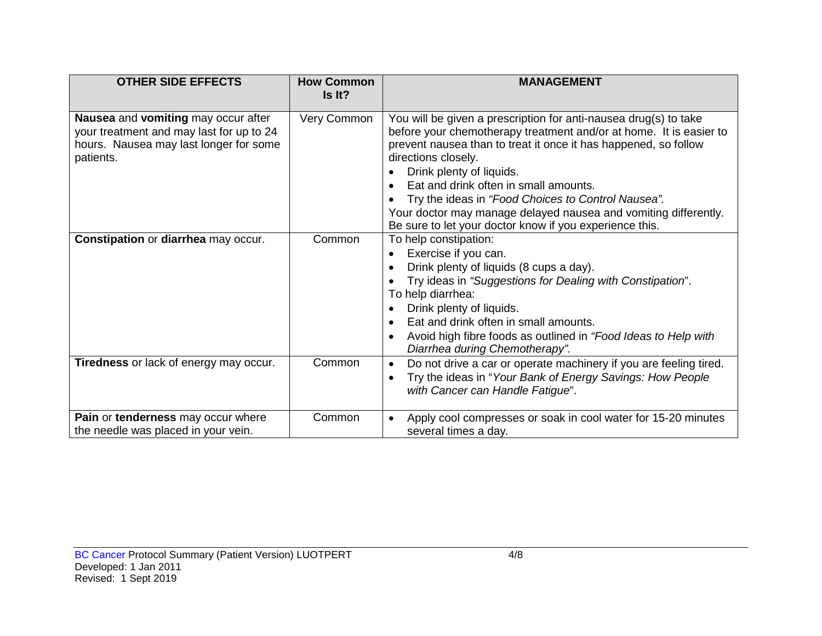| <b>OTHER SIDE EFFECTS</b>                                                                                                              | <b>How Common</b><br>Is It? | <b>MANAGEMENT</b>                                                                                                                                                                                                                                                                                                                                                                                                                                                                         |
|----------------------------------------------------------------------------------------------------------------------------------------|-----------------------------|-------------------------------------------------------------------------------------------------------------------------------------------------------------------------------------------------------------------------------------------------------------------------------------------------------------------------------------------------------------------------------------------------------------------------------------------------------------------------------------------|
| Nausea and vomiting may occur after<br>your treatment and may last for up to 24<br>hours. Nausea may last longer for some<br>patients. | Very Common                 | You will be given a prescription for anti-nausea drug(s) to take<br>before your chemotherapy treatment and/or at home. It is easier to<br>prevent nausea than to treat it once it has happened, so follow<br>directions closely.<br>Drink plenty of liquids.<br>Eat and drink often in small amounts.<br>Try the ideas in "Food Choices to Control Nausea".<br>Your doctor may manage delayed nausea and vomiting differently.<br>Be sure to let your doctor know if you experience this. |
| Constipation or diarrhea may occur.                                                                                                    | Common                      | To help constipation:<br>Exercise if you can.<br>Drink plenty of liquids (8 cups a day).<br>Try ideas in "Suggestions for Dealing with Constipation".<br>To help diarrhea:<br>Drink plenty of liquids.<br>Eat and drink often in small amounts.<br>Avoid high fibre foods as outlined in "Food Ideas to Help with<br>Diarrhea during Chemotherapy".                                                                                                                                       |
| <b>Tiredness</b> or lack of energy may occur.                                                                                          | Common                      | Do not drive a car or operate machinery if you are feeling tired.<br>$\bullet$<br>Try the ideas in "Your Bank of Energy Savings: How People<br>with Cancer can Handle Fatigue".                                                                                                                                                                                                                                                                                                           |
| Pain or tenderness may occur where<br>the needle was placed in your vein.                                                              | Common                      | Apply cool compresses or soak in cool water for 15-20 minutes<br>$\bullet$<br>several times a day.                                                                                                                                                                                                                                                                                                                                                                                        |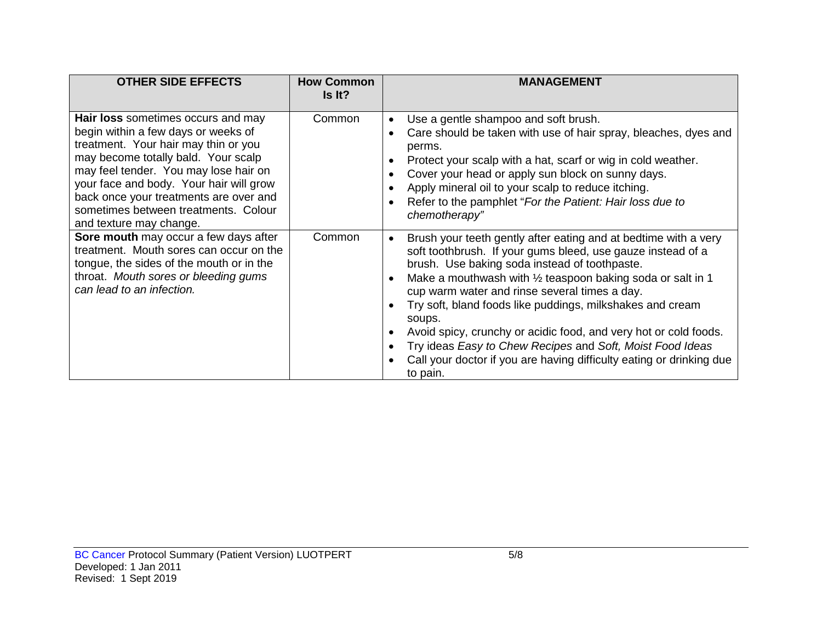| <b>OTHER SIDE EFFECTS</b>                                                                                                                                                                                                                                                                                                                                 | <b>How Common</b><br>Is It? | <b>MANAGEMENT</b>                                                                                                                                                                                                                                                                                                                                                                                                                                                                                                                                                                                     |
|-----------------------------------------------------------------------------------------------------------------------------------------------------------------------------------------------------------------------------------------------------------------------------------------------------------------------------------------------------------|-----------------------------|-------------------------------------------------------------------------------------------------------------------------------------------------------------------------------------------------------------------------------------------------------------------------------------------------------------------------------------------------------------------------------------------------------------------------------------------------------------------------------------------------------------------------------------------------------------------------------------------------------|
| Hair loss sometimes occurs and may<br>begin within a few days or weeks of<br>treatment. Your hair may thin or you<br>may become totally bald. Your scalp<br>may feel tender. You may lose hair on<br>your face and body. Your hair will grow<br>back once your treatments are over and<br>sometimes between treatments. Colour<br>and texture may change. | Common                      | Use a gentle shampoo and soft brush.<br>$\bullet$<br>Care should be taken with use of hair spray, bleaches, dyes and<br>perms.<br>Protect your scalp with a hat, scarf or wig in cold weather.<br>Cover your head or apply sun block on sunny days.<br>Apply mineral oil to your scalp to reduce itching.<br>Refer to the pamphlet "For the Patient: Hair loss due to<br>chemotherapy"                                                                                                                                                                                                                |
| Sore mouth may occur a few days after<br>treatment. Mouth sores can occur on the<br>tongue, the sides of the mouth or in the<br>throat. Mouth sores or bleeding gums<br>can lead to an infection.                                                                                                                                                         | Common                      | Brush your teeth gently after eating and at bedtime with a very<br>soft toothbrush. If your gums bleed, use gauze instead of a<br>brush. Use baking soda instead of toothpaste.<br>Make a mouthwash with $\frac{1}{2}$ teaspoon baking soda or salt in 1<br>cup warm water and rinse several times a day.<br>Try soft, bland foods like puddings, milkshakes and cream<br>soups.<br>Avoid spicy, crunchy or acidic food, and very hot or cold foods.<br>Try ideas Easy to Chew Recipes and Soft, Moist Food Ideas<br>Call your doctor if you are having difficulty eating or drinking due<br>to pain. |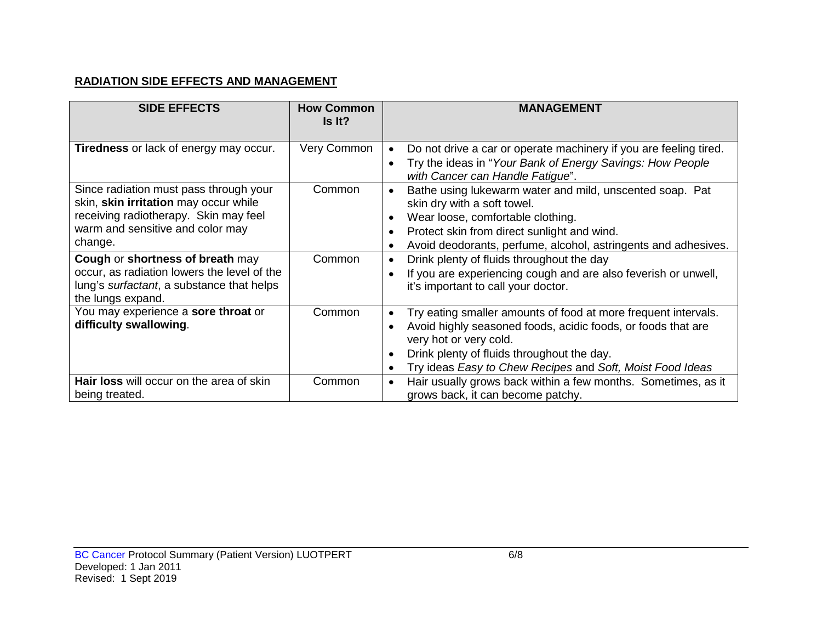### **RADIATION SIDE EFFECTS AND MANAGEMENT**

| <b>SIDE EFFECTS</b>                                                                                                                                                     | <b>How Common</b><br>Is It? | <b>MANAGEMENT</b>                                                                                                                                                                                                                                                                |
|-------------------------------------------------------------------------------------------------------------------------------------------------------------------------|-----------------------------|----------------------------------------------------------------------------------------------------------------------------------------------------------------------------------------------------------------------------------------------------------------------------------|
| <b>Tiredness</b> or lack of energy may occur.                                                                                                                           | Very Common                 | Do not drive a car or operate machinery if you are feeling tired.<br>Try the ideas in "Your Bank of Energy Savings: How People<br>with Cancer can Handle Fatigue".                                                                                                               |
| Since radiation must pass through your<br>skin, skin irritation may occur while<br>receiving radiotherapy. Skin may feel<br>warm and sensitive and color may<br>change. | Common                      | Bathe using lukewarm water and mild, unscented soap. Pat<br>skin dry with a soft towel.<br>Wear loose, comfortable clothing.<br>Protect skin from direct sunlight and wind.<br>Avoid deodorants, perfume, alcohol, astringents and adhesives.                                    |
| Cough or shortness of breath may<br>occur, as radiation lowers the level of the<br>lung's surfactant, a substance that helps<br>the lungs expand.                       | Common                      | Drink plenty of fluids throughout the day<br>If you are experiencing cough and are also feverish or unwell,<br>it's important to call your doctor.                                                                                                                               |
| You may experience a sore throat or<br>difficulty swallowing.                                                                                                           | Common                      | Try eating smaller amounts of food at more frequent intervals.<br>Avoid highly seasoned foods, acidic foods, or foods that are<br>very hot or very cold.<br>Drink plenty of fluids throughout the day.<br>Try ideas Easy to Chew Recipes and Soft, Moist Food Ideas<br>$\bullet$ |
| Hair loss will occur on the area of skin<br>being treated.                                                                                                              | Common                      | Hair usually grows back within a few months. Sometimes, as it<br>$\bullet$<br>grows back, it can become patchy.                                                                                                                                                                  |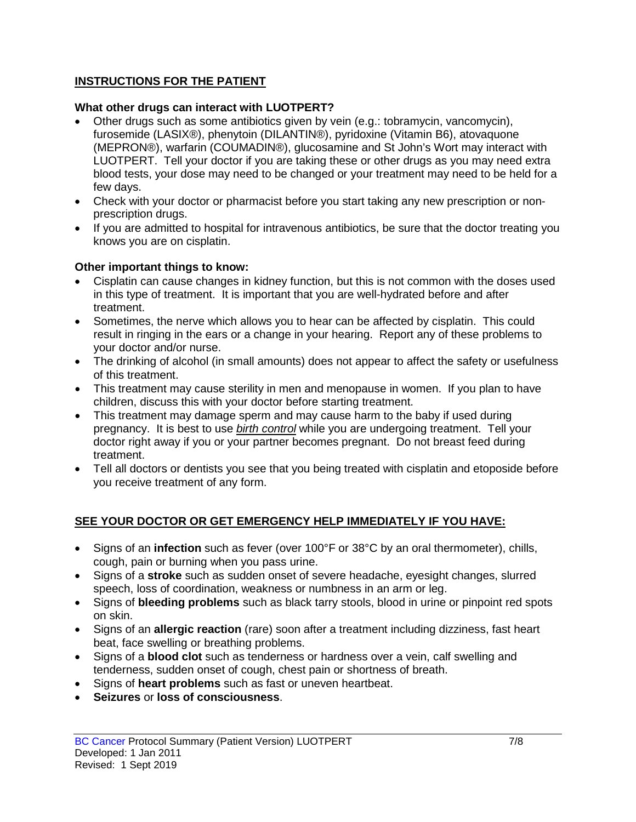### **INSTRUCTIONS FOR THE PATIENT**

#### **What other drugs can interact with LUOTPERT?**

- Other drugs such as some antibiotics given by vein (e.g.: tobramycin, vancomycin), furosemide (LASIX®), phenytoin (DILANTIN®), pyridoxine (Vitamin B6), atovaquone (MEPRON®), warfarin (COUMADIN®), glucosamine and St John's Wort may interact with LUOTPERT. Tell your doctor if you are taking these or other drugs as you may need extra blood tests, your dose may need to be changed or your treatment may need to be held for a few days.
- Check with your doctor or pharmacist before you start taking any new prescription or nonprescription drugs.
- If you are admitted to hospital for intravenous antibiotics, be sure that the doctor treating you knows you are on cisplatin.

#### **Other important things to know:**

- Cisplatin can cause changes in kidney function, but this is not common with the doses used in this type of treatment. It is important that you are well-hydrated before and after treatment.
- Sometimes, the nerve which allows you to hear can be affected by cisplatin. This could result in ringing in the ears or a change in your hearing. Report any of these problems to your doctor and/or nurse.
- The drinking of alcohol (in small amounts) does not appear to affect the safety or usefulness of this treatment.
- This treatment may cause sterility in men and menopause in women. If you plan to have children, discuss this with your doctor before starting treatment.
- This treatment may damage sperm and may cause harm to the baby if used during pregnancy. It is best to use *birth control* while you are undergoing treatment. Tell your doctor right away if you or your partner becomes pregnant. Do not breast feed during treatment.
- Tell all doctors or dentists you see that you being treated with cisplatin and etoposide before you receive treatment of any form.

### **SEE YOUR DOCTOR OR GET EMERGENCY HELP IMMEDIATELY IF YOU HAVE:**

- Signs of an **infection** such as fever (over 100°F or 38°C by an oral thermometer), chills, cough, pain or burning when you pass urine.
- Signs of a **stroke** such as sudden onset of severe headache, eyesight changes, slurred speech, loss of coordination, weakness or numbness in an arm or leg.
- Signs of **bleeding problems** such as black tarry stools, blood in urine or pinpoint red spots on skin.
- Signs of an **allergic reaction** (rare) soon after a treatment including dizziness, fast heart beat, face swelling or breathing problems.
- Signs of a **blood clot** such as tenderness or hardness over a vein, calf swelling and tenderness, sudden onset of cough, chest pain or shortness of breath.
- Signs of **heart problems** such as fast or uneven heartbeat.
- **Seizures** or **loss of consciousness**.